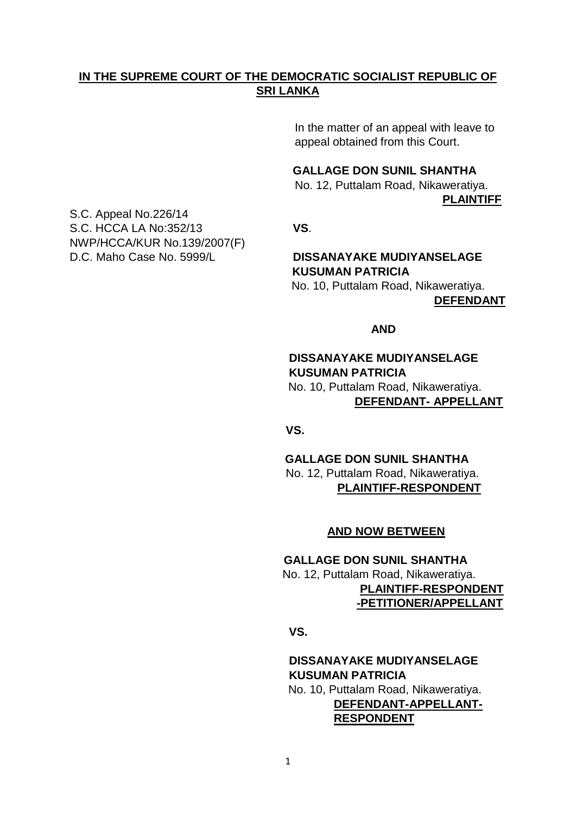# **IN THE SUPREME COURT OF THE DEMOCRATIC SOCIALIST REPUBLIC OF SRI LANKA**

 In the matter of an appeal with leave to appeal obtained from this Court.

## **GALLAGE DON SUNIL SHANTHA**

 No. 12, Puttalam Road, Nikaweratiya. **PLAINTIFF**

S.C. Appeal No.226/14 S.C. HCCA LA No:352/13 **VS**. NWP/HCCA/KUR No.139/2007(F) D.C. Maho Case No. 5999/L **DISSANAYAKE MUDIYANSELAGE** 

# **KUSUMAN PATRICIA**

 No. 10, Puttalam Road, Nikaweratiya. **DEFENDANT**

#### *AND* AND

# **DISSANAYAKE MUDIYANSELAGE KUSUMAN PATRICIA** No. 10, Puttalam Road, Nikaweratiya. **DEFENDANT- APPELLANT**

*<u> VS.</u>* 

 **GALLAGE DON SUNIL SHANTHA** No. 12, Puttalam Road, Nikaweratiya. **PLAINTIFF-RESPONDENT**

### **AND NOW BETWEEN**

# **GALLAGE DON SUNIL SHANTHA** No. 12, Puttalam Road, Nikaweratiya.  **PLAINTIFF-RESPONDENT -PETITIONER/APPELLANT**

*<u> VS.</u>* 

# **DISSANAYAKE MUDIYANSELAGE KUSUMAN PATRICIA** No. 10, Puttalam Road, Nikaweratiya.

**DEFENDANT-APPELLANT-RESPONDENT**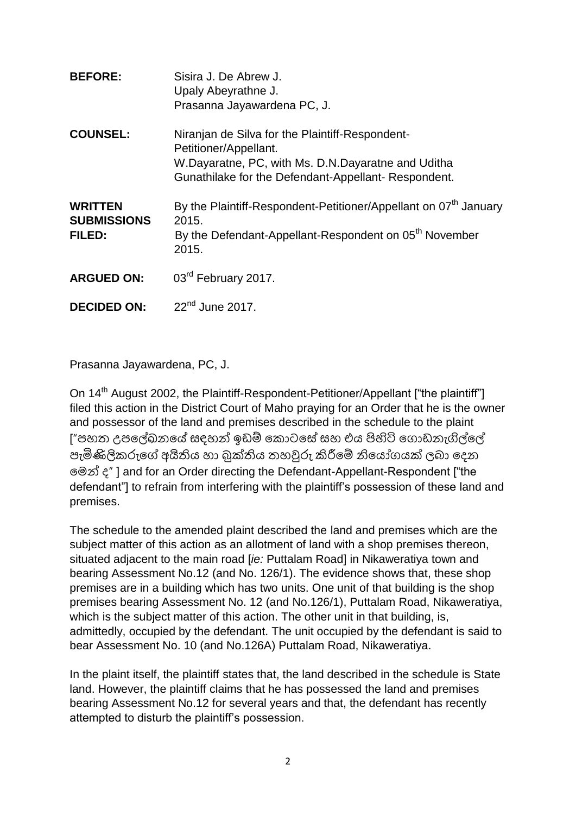| <b>BEFORE:</b>                                 | Sisira J. De Abrew J.<br>Upaly Abeyrathne J.<br>Prasanna Jayawardena PC, J.                                                                                                           |
|------------------------------------------------|---------------------------------------------------------------------------------------------------------------------------------------------------------------------------------------|
| <b>COUNSEL:</b>                                | Niranjan de Silva for the Plaintiff-Respondent-<br>Petitioner/Appellant.<br>W.Dayaratne, PC, with Ms. D.N.Dayaratne and Uditha<br>Gunathilake for the Defendant-Appellant-Respondent. |
| <b>WRITTEN</b><br><b>SUBMISSIONS</b><br>FILED: | By the Plaintiff-Respondent-Petitioner/Appellant on 07 <sup>th</sup> January<br>2015.<br>By the Defendant-Appellant-Respondent on 05 <sup>th</sup> November<br>2015.                  |
| <b>ARGUED ON:</b>                              | 03rd February 2017.                                                                                                                                                                   |
| <b>DECIDED ON:</b>                             | $22nd$ June 2017.                                                                                                                                                                     |

Prasanna Jayawardena, PC, J.

On 14<sup>th</sup> August 2002, the Plaintiff-Respondent-Petitioner/Appellant ["the plaintiff"] filed this action in the District Court of Maho praying for an Order that he is the owner and possessor of the land and premises described in the schedule to the plaint ["පහත උපලේඛනයේ සදහන් ඉඩම් කොටසේ සහ එය පිහිටි ගොඩනැගිල්ලේ පැමිණිලිකරුගේ අයිතිය හා බුක්තිය තහවුරු කිරීමේ නියෝගයක් ලබා දෙන ලෙන් ෙ" ] and for an Order directing the Defendant-Appellant-Respondent ["the defendant"] to refrain from interfering with the plaintiff's possession of these land and premises.

The schedule to the amended plaint described the land and premises which are the subject matter of this action as an allotment of land with a shop premises thereon, situated adjacent to the main road [*ie:* Puttalam Road] in Nikaweratiya town and bearing Assessment No.12 (and No. 126/1). The evidence shows that, these shop premises are in a building which has two units. One unit of that building is the shop premises bearing Assessment No. 12 (and No.126/1), Puttalam Road, Nikaweratiya, which is the subject matter of this action. The other unit in that building, is, admittedly, occupied by the defendant. The unit occupied by the defendant is said to bear Assessment No. 10 (and No.126A) Puttalam Road, Nikaweratiya.

In the plaint itself, the plaintiff states that, the land described in the schedule is State land. However, the plaintiff claims that he has possessed the land and premises bearing Assessment No.12 for several years and that, the defendant has recently attempted to disturb the plaintiff's possession.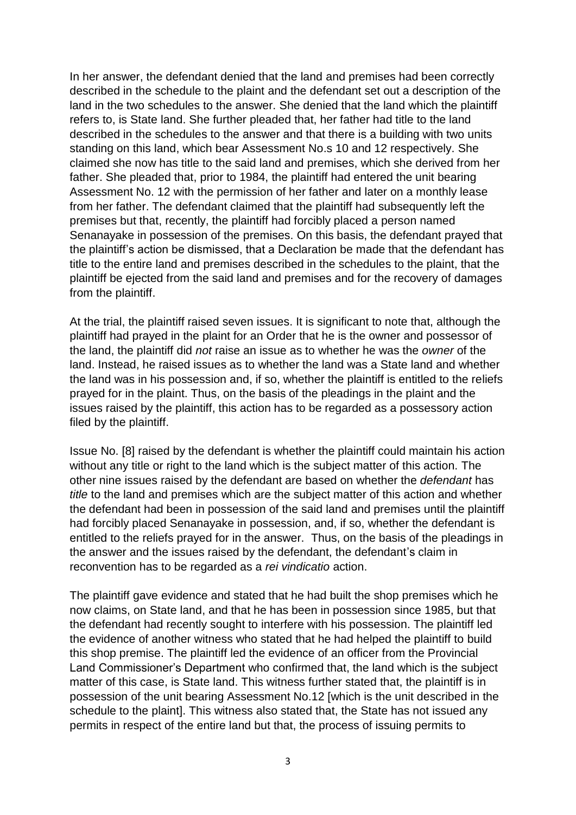In her answer, the defendant denied that the land and premises had been correctly described in the schedule to the plaint and the defendant set out a description of the land in the two schedules to the answer. She denied that the land which the plaintiff refers to, is State land. She further pleaded that, her father had title to the land described in the schedules to the answer and that there is a building with two units standing on this land, which bear Assessment No.s 10 and 12 respectively. She claimed she now has title to the said land and premises, which she derived from her father. She pleaded that, prior to 1984, the plaintiff had entered the unit bearing Assessment No. 12 with the permission of her father and later on a monthly lease from her father. The defendant claimed that the plaintiff had subsequently left the premises but that, recently, the plaintiff had forcibly placed a person named Senanayake in possession of the premises. On this basis, the defendant prayed that the plaintiff's action be dismissed, that a Declaration be made that the defendant has title to the entire land and premises described in the schedules to the plaint, that the plaintiff be ejected from the said land and premises and for the recovery of damages from the plaintiff.

At the trial, the plaintiff raised seven issues. It is significant to note that, although the plaintiff had prayed in the plaint for an Order that he is the owner and possessor of the land, the plaintiff did *not* raise an issue as to whether he was the *owner* of the land. Instead, he raised issues as to whether the land was a State land and whether the land was in his possession and, if so, whether the plaintiff is entitled to the reliefs prayed for in the plaint. Thus, on the basis of the pleadings in the plaint and the issues raised by the plaintiff, this action has to be regarded as a possessory action filed by the plaintiff.

Issue No. [8] raised by the defendant is whether the plaintiff could maintain his action without any title or right to the land which is the subject matter of this action. The other nine issues raised by the defendant are based on whether the *defendant* has *title* to the land and premises which are the subject matter of this action and whether the defendant had been in possession of the said land and premises until the plaintiff had forcibly placed Senanayake in possession, and, if so, whether the defendant is entitled to the reliefs prayed for in the answer. Thus, on the basis of the pleadings in the answer and the issues raised by the defendant, the defendant's claim in reconvention has to be regarded as a *rei vindicatio* action.

The plaintiff gave evidence and stated that he had built the shop premises which he now claims, on State land, and that he has been in possession since 1985, but that the defendant had recently sought to interfere with his possession. The plaintiff led the evidence of another witness who stated that he had helped the plaintiff to build this shop premise. The plaintiff led the evidence of an officer from the Provincial Land Commissioner's Department who confirmed that, the land which is the subject matter of this case, is State land. This witness further stated that, the plaintiff is in possession of the unit bearing Assessment No.12 [which is the unit described in the schedule to the plaint]. This witness also stated that, the State has not issued any permits in respect of the entire land but that, the process of issuing permits to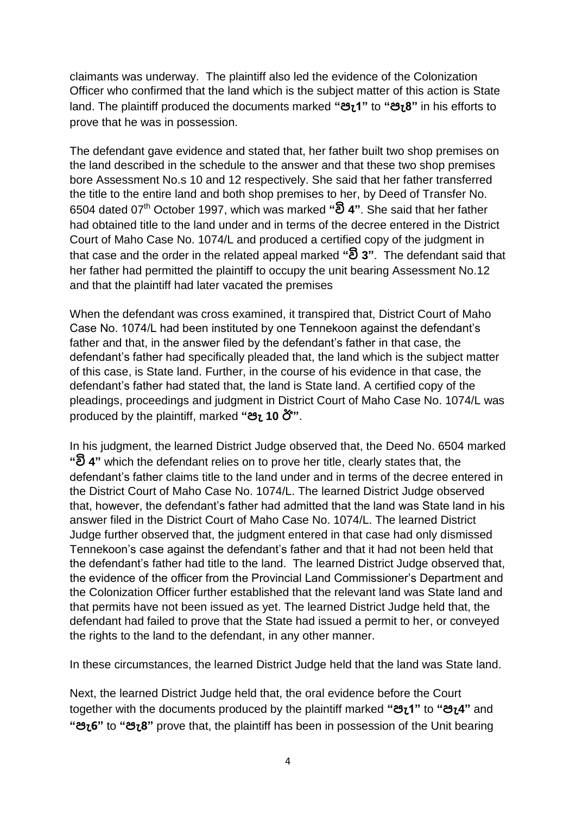claimants was underway. The plaintiff also led the evidence of the Colonization Officer who confirmed that the land which is the subject matter of this action is State land. The plaintiff produced the documents marked **"පැ1"** to **"පැ8"** in his efforts to prove that he was in possession.

The defendant gave evidence and stated that, her father built two shop premises on the land described in the schedule to the answer and that these two shop premises bore Assessment No.s 10 and 12 respectively. She said that her father transferred the title to the entire land and both shop premises to her, by Deed of Transfer No. 6504 dated 07th October 1997, which was marked **"වි 4"**. She said that her father had obtained title to the land under and in terms of the decree entered in the District Court of Maho Case No. 1074/L and produced a certified copy of the judgment in that case and the order in the related appeal marked **"වි 3"**. The defendant said that her father had permitted the plaintiff to occupy the unit bearing Assessment No.12 and that the plaintiff had later vacated the premises

When the defendant was cross examined, it transpired that, District Court of Maho Case No. 1074/L had been instituted by one Tennekoon against the defendant's father and that, in the answer filed by the defendant's father in that case, the defendant's father had specifically pleaded that, the land which is the subject matter of this case, is State land. Further, in the course of his evidence in that case, the defendant's father had stated that, the land is State land. A certified copy of the pleadings, proceedings and judgment in District Court of Maho Case No. 1074/L was produced by the plaintiff, marked **"පැ 10 ඊ"**.

In his judgment, the learned District Judge observed that, the Deed No. 6504 marked **"වි 4"** which the defendant relies on to prove her title, clearly states that, the defendant's father claims title to the land under and in terms of the decree entered in the District Court of Maho Case No. 1074/L. The learned District Judge observed that, however, the defendant's father had admitted that the land was State land in his answer filed in the District Court of Maho Case No. 1074/L. The learned District Judge further observed that, the judgment entered in that case had only dismissed Tennekoon's case against the defendant's father and that it had not been held that the defendant's father had title to the land. The learned District Judge observed that, the evidence of the officer from the Provincial Land Commissioner's Department and the Colonization Officer further established that the relevant land was State land and that permits have not been issued as yet. The learned District Judge held that, the defendant had failed to prove that the State had issued a permit to her, or conveyed the rights to the land to the defendant, in any other manner.

In these circumstances, the learned District Judge held that the land was State land.

Next, the learned District Judge held that, the oral evidence before the Court together with the documents produced by the plaintiff marked **"පැ1"** to **"පැ4"** and **"පැ6"** to **"පැ8"** prove that, the plaintiff has been in possession of the Unit bearing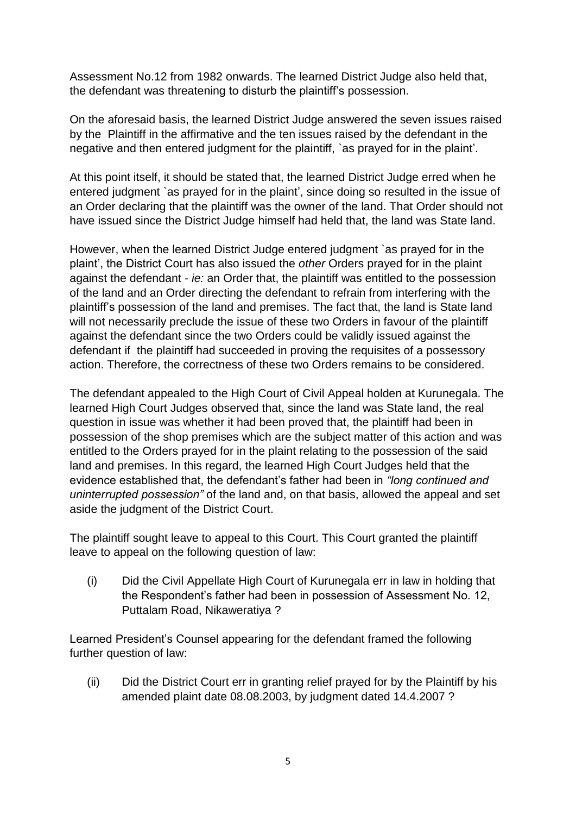Assessment No.12 from 1982 onwards. The learned District Judge also held that, the defendant was threatening to disturb the plaintiff's possession.

On the aforesaid basis, the learned District Judge answered the seven issues raised by the Plaintiff in the affirmative and the ten issues raised by the defendant in the negative and then entered judgment for the plaintiff, `as prayed for in the plaint'.

At this point itself, it should be stated that, the learned District Judge erred when he entered judgment `as prayed for in the plaint', since doing so resulted in the issue of an Order declaring that the plaintiff was the owner of the land. That Order should not have issued since the District Judge himself had held that, the land was State land.

However, when the learned District Judge entered judgment `as prayed for in the plaint', the District Court has also issued the *other* Orders prayed for in the plaint against the defendant - *ie:* an Order that, the plaintiff was entitled to the possession of the land and an Order directing the defendant to refrain from interfering with the plaintiff's possession of the land and premises. The fact that, the land is State land will not necessarily preclude the issue of these two Orders in favour of the plaintiff against the defendant since the two Orders could be validly issued against the defendant if the plaintiff had succeeded in proving the requisites of a possessory action. Therefore, the correctness of these two Orders remains to be considered.

The defendant appealed to the High Court of Civil Appeal holden at Kurunegala. The learned High Court Judges observed that, since the land was State land, the real question in issue was whether it had been proved that, the plaintiff had been in possession of the shop premises which are the subject matter of this action and was entitled to the Orders prayed for in the plaint relating to the possession of the said land and premises. In this regard, the learned High Court Judges held that the evidence established that, the defendant's father had been in *"long continued and uninterrupted possession"* of the land and, on that basis, allowed the appeal and set aside the judgment of the District Court.

The plaintiff sought leave to appeal to this Court. This Court granted the plaintiff leave to appeal on the following question of law:

(i) Did the Civil Appellate High Court of Kurunegala err in law in holding that the Respondent's father had been in possession of Assessment No. 12, Puttalam Road, Nikaweratiya ?

Learned President's Counsel appearing for the defendant framed the following further question of law:

(ii) Did the District Court err in granting relief prayed for by the Plaintiff by his amended plaint date 08.08.2003, by judgment dated 14.4.2007 ?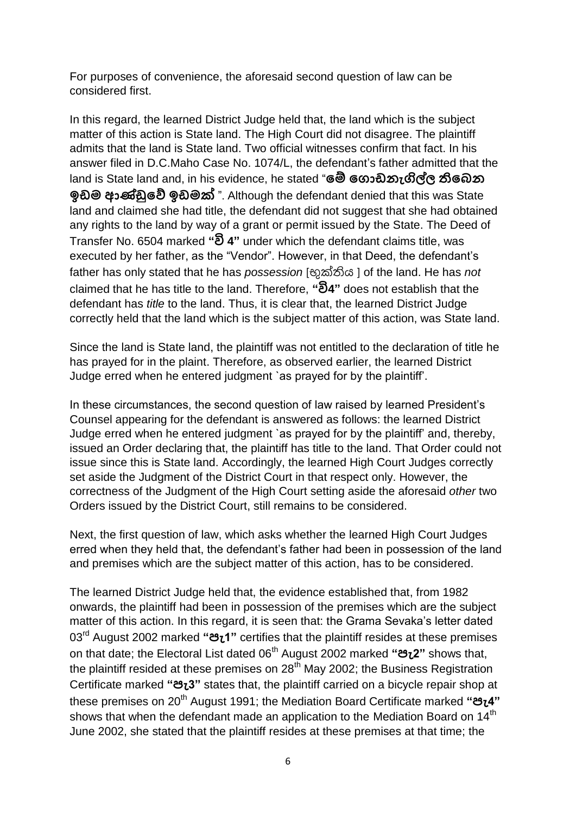For purposes of convenience, the aforesaid second question of law can be considered first.

In this regard, the learned District Judge held that, the land which is the subject matter of this action is State land. The High Court did not disagree. The plaintiff admits that the land is State land. Two official witnesses confirm that fact. In his answer filed in D.C.Maho Case No. 1074/L, the defendant's father admitted that the land is State land and, in his evidence, he stated "**මේ ම ොඩනැගිල්ල තිමෙන ඉඩම ආණ්ඩුමේ ඉඩමක්** ". Although the defendant denied that this was State land and claimed she had title, the defendant did not suggest that she had obtained any rights to the land by way of a grant or permit issued by the State. The Deed of Transfer No. 6504 marked **"වි 4"** under which the defendant claims title, was executed by her father, as the "Vendor". However, in that Deed, the defendant's father has only stated that he has *possession* [භුක්තිය ] of the land. He has *not* claimed that he has title to the land. Therefore, **"වි4"** does not establish that the defendant has *title* to the land. Thus, it is clear that, the learned District Judge correctly held that the land which is the subject matter of this action, was State land.

Since the land is State land, the plaintiff was not entitled to the declaration of title he has prayed for in the plaint. Therefore, as observed earlier, the learned District Judge erred when he entered judgment `as prayed for by the plaintiff'.

In these circumstances, the second question of law raised by learned President's Counsel appearing for the defendant is answered as follows: the learned District Judge erred when he entered judgment `as prayed for by the plaintiff' and, thereby, issued an Order declaring that, the plaintiff has title to the land. That Order could not issue since this is State land. Accordingly, the learned High Court Judges correctly set aside the Judgment of the District Court in that respect only. However, the correctness of the Judgment of the High Court setting aside the aforesaid *other* two Orders issued by the District Court, still remains to be considered.

Next, the first question of law, which asks whether the learned High Court Judges erred when they held that, the defendant's father had been in possession of the land and premises which are the subject matter of this action, has to be considered.

The learned District Judge held that, the evidence established that, from 1982 onwards, the plaintiff had been in possession of the premises which are the subject matter of this action. In this regard, it is seen that: the Grama Sevaka's letter dated 03rd August 2002 marked **"පැ1"** certifies that the plaintiff resides at these premises on that date; the Electoral List dated 06th August 2002 marked **"පැ2"** shows that, the plaintiff resided at these premises on  $28<sup>th</sup>$  May 2002; the Business Registration Certificate marked **"පැ3"** states that, the plaintiff carried on a bicycle repair shop at these premises on 20th August 1991; the Mediation Board Certificate marked **"පැ4"** shows that when the defendant made an application to the Mediation Board on 14<sup>th</sup> June 2002, she stated that the plaintiff resides at these premises at that time; the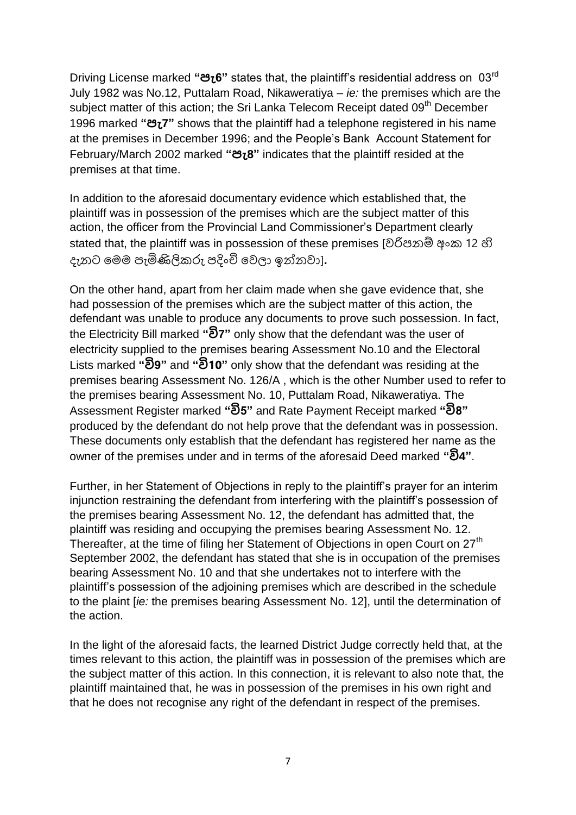Driving License marked **"පැ6"** states that, the plaintiff's residential address on 03rd July 1982 was No.12, Puttalam Road, Nikaweratiya – *ie:* the premises which are the subject matter of this action; the Sri Lanka Telecom Receipt dated 09<sup>th</sup> December 1996 marked **"පැ7"** shows that the plaintiff had a telephone registered in his name at the premises in December 1996; and the People's Bank Account Statement for February/March 2002 marked **"පැ8"** indicates that the plaintiff resided at the premises at that time.

In addition to the aforesaid documentary evidence which established that, the plaintiff was in possession of the premises which are the subject matter of this action, the officer from the Provincial Land Commissioner's Department clearly stated that, the plaintiff was in possession of these premises [වරිපනම් අංක 12 හි ෙැනට ලෙෙ පැමිණිලි රු පදංචි ලවලා ඉන්නවා]**.**

On the other hand, apart from her claim made when she gave evidence that, she had possession of the premises which are the subject matter of this action, the defendant was unable to produce any documents to prove such possession. In fact, the Electricity Bill marked **"වි7"** only show that the defendant was the user of electricity supplied to the premises bearing Assessment No.10 and the Electoral Lists marked **"වි9"** and **"වි10"** only show that the defendant was residing at the premises bearing Assessment No. 126/A , which is the other Number used to refer to the premises bearing Assessment No. 10, Puttalam Road, Nikaweratiya. The Assessment Register marked **"වි5"** and Rate Payment Receipt marked **"වි8"** produced by the defendant do not help prove that the defendant was in possession. These documents only establish that the defendant has registered her name as the owner of the premises under and in terms of the aforesaid Deed marked **"වි4"**.

Further, in her Statement of Objections in reply to the plaintiff's prayer for an interim injunction restraining the defendant from interfering with the plaintiff's possession of the premises bearing Assessment No. 12, the defendant has admitted that, the plaintiff was residing and occupying the premises bearing Assessment No. 12. Thereafter, at the time of filing her Statement of Objections in open Court on 27<sup>th</sup> September 2002, the defendant has stated that she is in occupation of the premises bearing Assessment No. 10 and that she undertakes not to interfere with the plaintiff's possession of the adjoining premises which are described in the schedule to the plaint [*ie:* the premises bearing Assessment No. 12], until the determination of the action.

In the light of the aforesaid facts, the learned District Judge correctly held that, at the times relevant to this action, the plaintiff was in possession of the premises which are the subject matter of this action. In this connection, it is relevant to also note that, the plaintiff maintained that, he was in possession of the premises in his own right and that he does not recognise any right of the defendant in respect of the premises.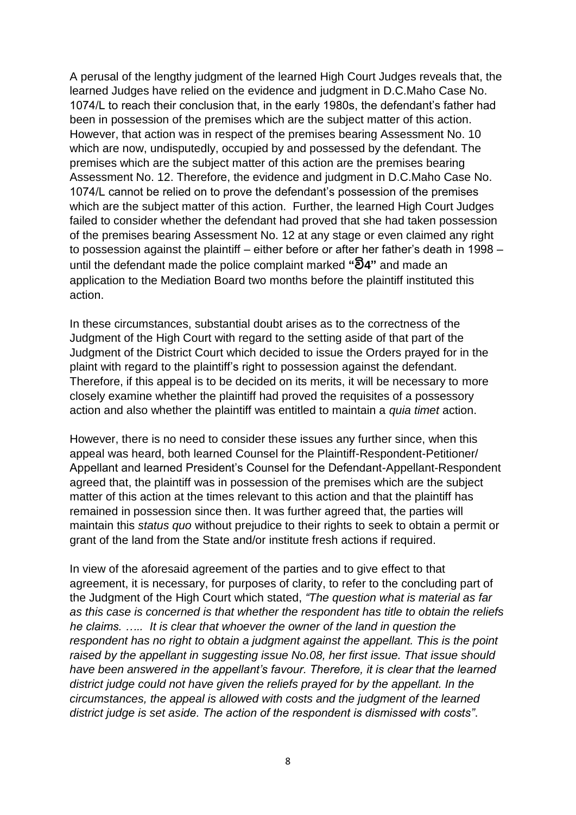A perusal of the lengthy judgment of the learned High Court Judges reveals that, the learned Judges have relied on the evidence and judgment in D.C.Maho Case No. 1074/L to reach their conclusion that, in the early 1980s, the defendant's father had been in possession of the premises which are the subject matter of this action. However, that action was in respect of the premises bearing Assessment No. 10 which are now, undisputedly, occupied by and possessed by the defendant. The premises which are the subject matter of this action are the premises bearing Assessment No. 12. Therefore, the evidence and judgment in D.C.Maho Case No. 1074/L cannot be relied on to prove the defendant's possession of the premises which are the subject matter of this action. Further, the learned High Court Judges failed to consider whether the defendant had proved that she had taken possession of the premises bearing Assessment No. 12 at any stage or even claimed any right to possession against the plaintiff – either before or after her father's death in 1998 – until the defendant made the police complaint marked **"වි4"** and made an application to the Mediation Board two months before the plaintiff instituted this action.

In these circumstances, substantial doubt arises as to the correctness of the Judgment of the High Court with regard to the setting aside of that part of the Judgment of the District Court which decided to issue the Orders prayed for in the plaint with regard to the plaintiff's right to possession against the defendant. Therefore, if this appeal is to be decided on its merits, it will be necessary to more closely examine whether the plaintiff had proved the requisites of a possessory action and also whether the plaintiff was entitled to maintain a *quia timet* action.

However, there is no need to consider these issues any further since, when this appeal was heard, both learned Counsel for the Plaintiff-Respondent-Petitioner/ Appellant and learned President's Counsel for the Defendant-Appellant-Respondent agreed that, the plaintiff was in possession of the premises which are the subject matter of this action at the times relevant to this action and that the plaintiff has remained in possession since then. It was further agreed that, the parties will maintain this *status quo* without prejudice to their rights to seek to obtain a permit or grant of the land from the State and/or institute fresh actions if required.

In view of the aforesaid agreement of the parties and to give effect to that agreement, it is necessary, for purposes of clarity, to refer to the concluding part of the Judgment of the High Court which stated, *"The question what is material as far as this case is concerned is that whether the respondent has title to obtain the reliefs he claims. ….. It is clear that whoever the owner of the land in question the respondent has no right to obtain a judgment against the appellant. This is the point raised by the appellant in suggesting issue No.08, her first issue. That issue should have been answered in the appellant's favour. Therefore, it is clear that the learned district judge could not have given the reliefs prayed for by the appellant. In the circumstances, the appeal is allowed with costs and the judgment of the learned district judge is set aside. The action of the respondent is dismissed with costs"*.